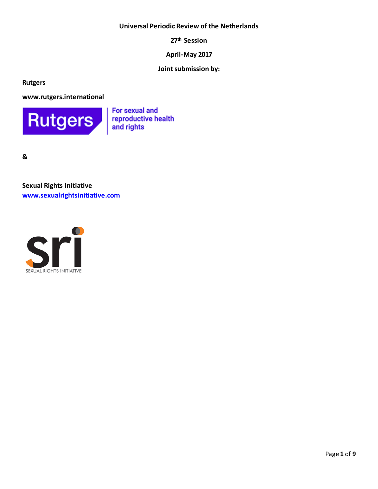### **Universal Periodic Review of the Netherlands**

**27th Session**

**April-May 2017**

**Joint submission by:**

**Rutgers**

**www.rutgers.international**



For sexual and reproductive health and rights

**&** 

**Sexual Rights Initiative www.sexualrightsinitiative.com**

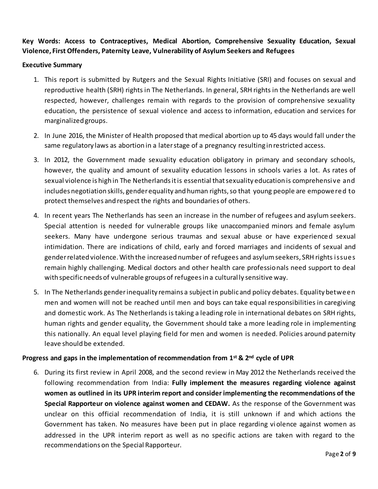# **Key Words: Access to Contraceptives, Medical Abortion, Comprehensive Sexuality Education, Sexual Violence, First Offenders, Paternity Leave, Vulnerability of Asylum Seekers and Refugees**

### **Executive Summary**

- 1. This report is submitted by Rutgers and the Sexual Rights Initiative (SRI) and focuses on sexual and reproductive health (SRH) rights in The Netherlands. In general, SRH rights in the Netherlands are well respected, however, challenges remain with regards to the provision of comprehensive sexuality education, the persistence of sexual violence and access to information, education and services for marginalized groups.
- 2. In June 2016, the Minister of Health proposed that medical abortion up to 45 days would fall under the same regulatory laws as abortion in a later stage of a pregnancy resulting in restricted access.
- 3. In 2012, the Government made sexuality education obligatory in primary and secondary schools, however, the quality and amount of sexuality education lessons in schools varies a lot. As rates of sexual violence is high in The Netherlands it is essential that sexuality education is comprehensive and includes negotiation skills, gender equality and human rights, so that young people are empowered to protect themselves and respect the rights and boundaries of others.
- 4. In recent years The Netherlands has seen an increase in the number of refugees and asylum seekers. Special attention is needed for vulnerable groups like unaccompanied minors and female asylum seekers. Many have undergone serious traumas and sexual abuse or have experienced sexual intimidation. There are indications of child, early and forced marriages and incidents of sexual and gender related violence. With the increased number of refugees and asylum seekers, SRH rights issues remain highly challenging. Medical doctors and other health care professionals need support to deal with specific needs of vulnerable groups of refugees in a cultural ly sensitive way.
- 5. In The Netherlands gender inequality remains a subject in public and policy debates. Equality between men and women will not be reached until men and boys can take equal responsibilities in caregiving and domestic work. As The Netherlands is taking a leading role in international debates on SRH rights, human rights and gender equality, the Government should take a more leading role in implementing this nationally. An equal level playing field for men and women is needed. Policies around paternity leave should be extended.

### **Progress and gaps in the implementation of recommendation from 1st & 2nd cycle of UPR**

6. During its first review in April 2008, and the second review in May 2012 the Netherlands received the following recommendation from India: **Fully implement the measures regarding violence against women as outlined in its UPR interim report and consider implementing the recommendations of the Special Rapporteur on violence against women and CEDAW.** As the response of the Government was unclear on this official recommendation of India, it is still unknown if and which actions the Government has taken. No measures have been put in place regarding vi olence against women as addressed in the UPR interim report as well as no specific actions are taken with regard to the recommendations on the Special Rapporteur.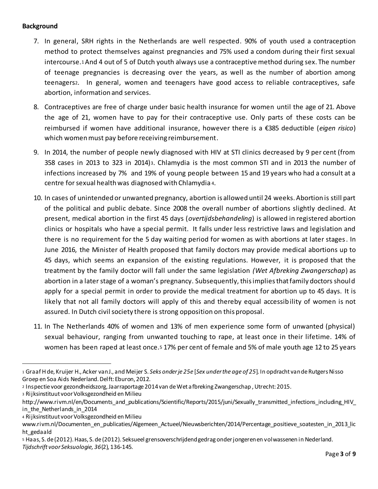### **Background**

- 7. In general, SRH rights in the Netherlands are well respected. 90% of youth used a contraception method to protect themselves against pregnancies and 75% used a condom during their first sexual intercourse.1And 4 out of 5 of Dutch youth always use a contraceptive method during sex. The number of teenage pregnancies is decreasing over the years, as well as the number of abortion among teenagers2. In general, women and teenagers have good access to reliable contraceptives, safe abortion, information and services.
- 8. Contraceptives are free of charge under basic health insurance for women until the age of 21. Above the age of 21, women have to pay for their contraceptive use. Only parts of these costs can be reimbursed if women have additional insurance, however there is a €385 deductible (*eigen risico*) which women must pay before receiving reimbursement.
- 9. In 2014, the number of people newly diagnosed with HIV at STI clinics decreased by 9 per cent (from 358 cases in 2013 to 323 in 2014)3. Chlamydia is the most common STI and in 2013 the number of infections increased by 7% and 19% of young people between 15 and 19 years who had a consult at a centre for sexual health was diagnosed with Chlamydia <sup>4</sup>.
- 10. In cases of unintended or unwanted pregnancy, abortion is allowed until 24 weeks. Abortion is still part of the political and public debate. Since 2008 the overall number of abortions slightly declined. At present, medical abortion in the first 45 days (*overtijdsbehandeling*) is allowed in registered abortion clinics or hospitals who have a special permit. It falls under less restrictive laws and legislation and there is no requirement for the 5 day waiting period for women as with abortions at later stages. In June 2016, the Minister of Health proposed that family doctors may provide medical abortions up to 45 days, which seems an expansion of the existing regulations. However, it is proposed that the treatment by the family doctor will fall under the same legislation *(Wet Afbreking Zwangerschap*) as abortion in a later stage of a woman's pregnancy. Subsequently, this implies that family doctors should apply for a special permit in order to provide the medical treatment for abortion up to 45 days. It is likely that not all family doctors will apply of this and thereby equal accessibility of women is not assured. In Dutch civil society there is strong opposition on this proposal.
- 11. In The Netherlands 40% of women and 13% of men experience some form of unwanted (physical) sexual behaviour, ranging from unwanted touching to rape, at least once in their lifetime. 14% of women has been raped at least once.<sup>5</sup> 17% per cent of female and 5% of male youth age 12 to 25 years

<sup>3</sup> Rijksinstituut voor Volksgezondheid en Milieu

 $\overline{a}$ 

<sup>4</sup> Rijksinstituut voor Volksgezondheid en Milieu

<sup>1</sup> Graaf H de, Kruijer H., Acker van J., and Meijer S. *Seks onder je 25e* [*Sex under the age of 25*]. In opdracht van de Rutgers Nisso Groep en Soa Aids Nederland. Delft: Eburon, 2012.

<sup>2</sup> Inspectie voor gezondheidszorg, Jaarraportage 2014 van de Wet afbreking Zwangerschap , Utrecht: 2015.

http://www.rivm.nl/en/Documents\_and\_publications/Scientific/Reports/2015/juni/Sexually\_transmitted\_infections\_including\_HIV\_ in\_the\_Netherlands\_in\_2014

www.rivm.nl/Documenten\_en\_publicaties/Algemeen\_Actueel/Nieuwsberichten/2014/Percentage\_positieve\_soatesten\_in\_2013\_lic ht gedaald

<sup>5</sup> Haas, S. de (2012). Haas, S. de (2012). Seksueel grensoverschrijdend gedrag onder jongeren en volwassenen in Nederland. *Tijdschrift voor Seksuologie, 36*(2), 136-145.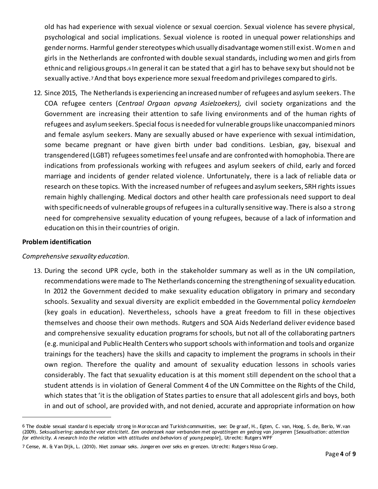old has had experience with sexual violence or sexual coercion. Sexual violence has severe physical, psychological and social implications. Sexual violence is rooted in unequal power relationships and gender norms. Harmful gender stereotypes which usually disadvantage women still exist. Women and girls in the Netherlands are confronted with double sexual standards, including women and girls from ethnic and religious groups.<sup>6</sup> In general it can be stated that a girl has to behave sexy but should not be sexually active.7And that boys experience more sexual freedom and privileges compared to girls.

12. Since 2015, The Netherlands is experiencing an increased number of refugees and asylum seekers. The COA refugee centers (*Centraal Orgaan opvang Asielzoekers),* civil society organizations and the Government are increasing their attention to safe living environments and of the human rights of refugees and asylum seekers. Special focus is needed for vulnerable groups like unaccompanied minors and female asylum seekers. Many are sexually abused or have experience with sexual intimidation, some became pregnant or have given birth under bad conditions. Lesbian, gay, bisexual and transgendered (LGBT) refugeessometimes feel unsafe and are confronted with homophobia. There are indications from professionals working with refugees and asylum seekers of child, early and forced marriage and incidents of gender related violence. Unfortunately, there is a lack of reliable data or research on these topics. With the increased number of refugees and asylum seekers, SRH rights issues remain highly challenging. Medical doctors and other health care professionals need support to deal with specific needs of vulnerable groups of refugees in a culturally sensitive way. There is also a strong need for comprehensive sexuality education of young refugees, because of a lack of information and education on this in their countries of origin.

### **Problem identification**

 $\overline{a}$ 

#### *Comprehensive sexuality education.*

13. During the second UPR cycle, both in the stakeholder summary as well as in the UN compilation, recommendations were made to The Netherlands concerning the strengthening of sexuality education. In 2012 the Government decided to make sexuality education obligatory in primary and secondary schools. Sexuality and sexual diversity are explicit embedded in the Governmental policy *kerndoelen*  (key goals in education). Nevertheless, schools have a great freedom to fill in these objectives themselves and choose their own methods. Rutgers and SOA Aids Nederland deliver evidence based and comprehensive sexuality education programs for schools, but not all of the collaborating partners (e.g. municipal and Public Health Centers who support schools with information and tools and organize trainings for the teachers) have the skills and capacity to implement the programs in schools in their own region. Therefore the quality and amount of sexuality education lessons in schools varies considerably. The fact that sexuality education is at this moment still dependent on the school that a student attends is in violation of General Comment 4 of the UN Committee on the Rights of the Child, which states that 'it is the obligation of States parties to ensure that all adolescent girls and boys, both in and out of school, are provided with, and not denied, accurate and appropriate information on how

<sup>6</sup> The double sexual standard is especially strong in Moroccan and Turkish communities, see: De graaf, H., Egten, C. van, Hoog, S. de, Berlo, W.van (2009). *Seksualisering: aandacht voor etniciteit. Een onderzoek naar verbanden met opvattingen en gedrag van jongeren* [*Sexualisation: attention for ethnicity. A research into the relation with attitudes and behaviors of young people*], Utrecht: Rutgers WPF

<sup>7</sup> Cense, M. & Van Dijk, L. (2010). Niet zomaar seks. Jongeren over seks en grenzen. Utrecht: Rutgers Nisso Groep.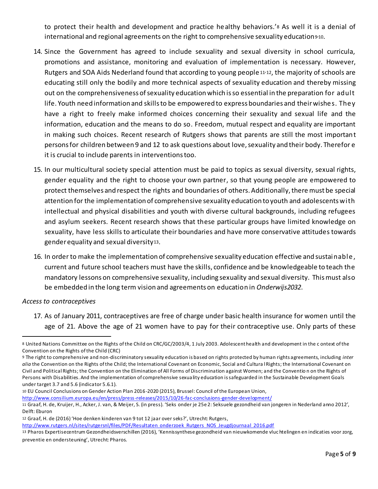to protect their health and development and practice healthy behaviors.'<sup>8</sup> As well it is a denial of international and regional agreements on the right to comprehensive sexuality education $940$ .

- 14. Since the Government has agreed to include sexuality and sexual diversity in school curricula, promotions and assistance, monitoring and evaluation of implementation is necessary. However, Rutgers and SOA Aids Nederland found that according to young people 11-12, the majority of schools are educating still only the bodily and more technical aspects of sexuality education and thereby missing out on the comprehensiveness of sexuality education which is so essential in the preparation for adult life. Youth need information and skills to be empowered to express boundaries and their wishes. They have a right to freely make informed choices concerning their sexuality and sexual life and the information, education and the means to do so. Freedom, mutual respect and equality are important in making such choices. Recent research of Rutgers shows that parents are still the most important persons for children between 9 and 12 to ask questions about love, sexuality and their body. Therefor e it is crucial to include parents in interventions too.
- 15. In our multicultural society special attention must be paid to topics as sexual diversity, sexual rights, gender equality and the right to choose your own partner, so that young people are empowered to protect themselves and respect the rights and boundaries of others. Additionally, there must be special attention for the implementation of comprehensive sexuality education to youth and adolescents with intellectual and physical disabilities and youth with diverse cultural backgrounds, including refugees and asylum seekers. Recent research shows that these particular groups have limited knowledge on sexuality, have less skills to articulate their boundaries and have more conservative attitudes towards gender equality and sexual diversity13.
- 16. In order to make the implementation of comprehensive sexuality education effective and sustainable, current and future school teachers must have the skills, confidence and be knowledgeable to teach the mandatory lessons on comprehensive sexuality, including sexuality and sexual diversity. This must also be embedded in the long term vision and agreements on education in *Onderwijs2032*.

#### *Access to contraceptives*

 $\overline{a}$ 

17. As of January 2011, contraceptives are free of charge under basic health insurance for women until the age of 21. Above the age of 21 women have to pay for their contraceptive use. Only parts of these

10 EU Council Conclusions on Gender Action Plan 2016-2020 (2015), Brussel: Council of the European Union,

http://www.consilium.europa.eu/en/press/press-releases/2015/10/26-fac-conclusions-gender-development/

<sup>8</sup> United Nations Committee on the Rights of the Child on CRC/GC/2003/4, 1 July 2003. Adolescent health and development in the c ontext of the Convention on the Rights of the Child (CRC)

<sup>9</sup> The right to comprehensive and non-discriminatory sexuality education is based on rights protected by human rights agreements, including *inter alia* the Convention on the Rights of the Child; the International Covenant on Economic, Social and Cultura l Rights; the International Covenant on Civil and Political Rights; the Convention on the Elimination of All Forms of Discrimination against Women; and the Conventio n on the Rights of Persons with Disabilities. And the implementation of comprehensive sexua lity education is safeguarded in the Sustainable Development Goals under target 3.7 and 5.6 (indicator 5.6.1).

<sup>11</sup> Graaf, H. de, Kruijer, H., Acker, J. van, & Meijer, S. (in press). 'Seks onder je 25e 2: Seksuele gezondheid van jongeren in Nederland anno 2012', Delft: Eburon

<sup>12</sup> Graaf, H. de (2016) 'Hoe denken kinderen van 9 tot 12 jaar over seks?', Utrecht: Rutgers,

http://www.rutgers.nl/sites/rutgersnl/files/PDF/Resultaten\_onderzoek\_Rutgers\_NOS\_Jeugdjournaal\_2016.pdf

<sup>13</sup> Pharos Expertisecentrum Gezondheidsverschillen (2016), 'Kennissynthese gezondheid van nieuwkomende vluc htelingen en indicaties voor zorg, preventie en ondersteuning', Utrecht: Pharos.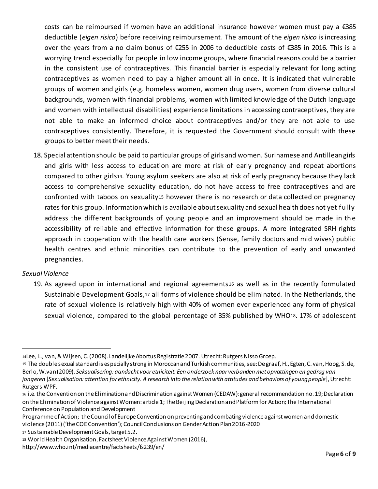costs can be reimbursed if women have an additional insurance however women must pay a €385 deductible (*eigen risico*) before receiving reimbursement. The amount of the *eigen risico* is increasing over the years from a no claim bonus of €255 in 2006 to deductible costs of €385 in 2016. This is a worrying trend especially for people in low income groups, where financial reasons could be a barrier in the consistent use of contraceptives. This financial barrier is especially relevant for long acting contraceptives as women need to pay a higher amount all in once. It is indicated that vulnerable groups of women and girls (e.g. homeless women, women drug users, women from diverse cultural backgrounds, women with financial problems, women with limited knowledge of the Dutch language and women with intellectual disabilities) experience limitations in accessing contraceptives, they are not able to make an informed choice about contraceptives and/or they are not able to use contraceptives consistently. Therefore, it is requested the Government should consult with these groups to better meet their needs.

18. Special attention should be paid to particular groups of girls and women. Surinamese and Antillean girls and girls with less access to education are more at risk of early pregnancy and repeat abortions compared to other girls14. Young asylum seekers are also at risk of early pregnancy because they lack access to comprehensive sexuality education, do not have access to free contraceptives and are confronted with taboos on sexuality<sup>15</sup> however there is no research or data collected on pregnancy rates for this group. Information which is available about sexuality and sexual health does not yet fully address the different backgrounds of young people and an improvement should be made in the accessibility of reliable and effective information for these groups. A more integrated SRH rights approach in cooperation with the health care workers (Sense, family doctors and mid wives) public health centres and ethnic minorities can contribute to the prevention of early and unwanted pregnancies.

# *Sexual Violence*

 $\overline{a}$ 

19. As agreed upon in international and regional agreements<sup>16</sup> as well as in the recently formulated Sustainable Development Goals,<sup>17</sup> all forms of violence should be eliminated. In the Netherlands, the rate of sexual violence is relatively high with 40% of women ever experienced any form of physical sexual violence, compared to the global percentage of 35% published by WHO18. 17% of adolescent

<sup>14</sup>Lee, L., van, & Wijsen, C. (2008). Landelijke Abortus Registratie 2007. Utrecht: Rutgers Nisso Groep.

<sup>15</sup> The double sexual standard is especially strong in Moroccan and Turkish communities, see: De graaf, H., Egten, C. van, Hoog, S. de, Berlo, W.van (2009). *Seksualisering: aandacht voor etniciteit. Een onderzoek naar verbanden met opvattingen en gedrag van jongeren* [*Sexualisation: attention for ethnicity. A research into the relation with attitudes and behaviors of young people*], Utrecht: Rutgers WPF.

<sup>16</sup> i.e. the Convention on the Elimination and Discrimination against Women (CEDAW): general recommendation no. 19; Declaration on the Elimination of Violence against Women: article 1; The Beijing Declaration and Platform for Action; The International Conference on Population and Development

Programme of Action; the Council of Europe Convention on preventing and combating violence against women and domestic violence (2011) ('the COE Convention'); Council Conclusions on Gender Action Plan 2016-2020

<sup>17</sup> Sustainable Development Goals, target 5.2.

<sup>18</sup> World Health Organisation, Factsheet Violence Against Women (2016),

http://www.who.int/mediacentre/factsheets/fs239/en/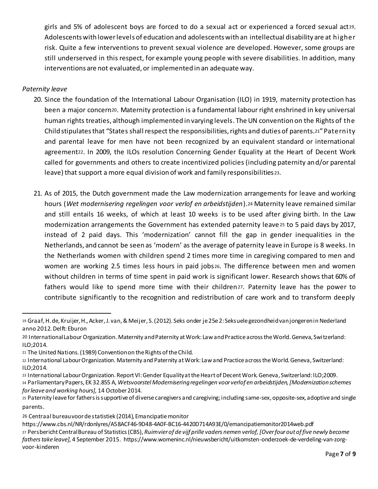girls and 5% of adolescent boys are forced to do a sexual act or experienced a forced sexual act19. Adolescents with lower levels of education and adolescents with an intellectual disability are at higher risk. Quite a few interventions to prevent sexual violence are developed. However, some groups are still underserved in this respect, for example young people with severe disabilities. In addition, many interventions are not evaluated, or implemented in an adequate way.

# *Paternity leave*

 $\overline{a}$ 

- 20. Since the foundation of the International Labour Organisation (ILO) in 1919, maternity protection has been a major concern20. Maternity protection is a fundamental labour right enshrined in key universal human rights treaties, although implemented in varying levels. The UN convention on the Rights of the Child stipulates that "States shall respect the responsibilities, rights and duties of parents.21"Paternity and parental leave for men have not been recognized by an equivalent standard or international agreement22. In 2009, the ILOs resolution Concerning Gender Equality at the Heart of Decent Work called for governments and others to create incentivized policies (including paternity and/or parental leave) that support a more equal division of work and family responsibilities <sup>23</sup>.
- 21. As of 2015, the Dutch government made the Law modernization arrangements for leave and working hours (*Wet modernisering regelingen voor verlof en arbeidstijden*).<sup>24</sup> Maternity leave remained similar and still entails 16 weeks, of which at least 10 weeks is to be used after giving birth. In the Law modernization arrangements the Government has extended paternity leave <sup>25</sup> to 5 paid days by 2017, instead of 2 paid days. This 'modernization' cannot fill the gap in gender inequalities in the Netherlands, and cannot be seen as 'modern' as the average of paternity leave in Europe is 8 weeks. In the Netherlands women with children spend 2 times more time in caregiving compared to men and women are working 2.5 times less hours in paid jobs26. The difference between men and women without children in terms of time spent in paid work is significant lower. Research shows that 60% of fathers would like to spend more time with their children27. Paternity leave has the power to contribute significantly to the recognition and redistribution of care work and to transform deeply

<sup>23</sup> International Labour Organization. Report VI: Gender Equality at the Heart of Decent Work. Geneva, Switzerland: ILO;2009. <sup>24</sup> Parliamentary Papers, EK 32.855 A, *Wetsvoorstel Modernisering regelingen voor verlof en arbeidstijden, [Modernization schemes* 

*for leave and working hours],* 14 October 2014.

<sup>19</sup> Graaf, H. de, Kruijer, H., Acker, J. van, & Meijer, S. (2012). Seks onder je 25e 2: Seksuele gezondheid van jongeren in Nederland anno 2012. Delft: Eburon

<sup>20</sup> International Labour Organization. Maternity and Paternity at Work: Law and Practice across the World. Geneva, Switzerland: ILO;2014.

<sup>21</sup> The United Nations. (1989) Convention on the Rights of the Child.

<sup>22</sup> International Labour Organization. Maternity and Paternity at Work: Law and Practice across the World. Geneva, Switzerland: ILO;2014.

<sup>25</sup> Paternity leave for fathers is supportive of diverse caregivers and caregiving; including same-sex, opposite-sex, adoptive and single parents.

<sup>26</sup> Centraal bureau voor de statistiek (2014), Emancipatie monitor

https://www.cbs.nl/NR/rdonlyres/A58ACF46-9D48-4A0F-BC16-4420D714A93E/0/emancipatiemonitor2014web.pdf <sup>27</sup> Persbericht Central Bureau of Statistics (CBS), *Ruim vier of de vijf prille vaders nemen verlof, [Over four out of five newly become fathers take leave],* 4 September 2015. https://www.womeninc.nl/nieuwsbericht/uitkomsten-onderzoek-de-verdeling-van-zorgvoor-kinderen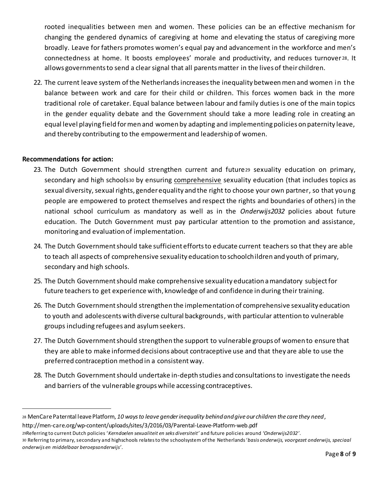rooted inequalities between men and women. These policies can be an effective mechanism for changing the gendered dynamics of caregiving at home and elevating the status of caregiving more broadly. Leave for fathers promotes women's equal pay and advancement in the workforce and men's connectedness at home. It boosts employees' morale and productivity, and reduces turnover <sup>28</sup>. It allows governments to send a clear signal that all parents matter in the lives of their children.

22. The current leave system of the Netherlandsincreases the inequality between men and women in the balance between work and care for their child or children. This forces women back in the more traditional role of caretaker. Equal balance between labour and family duties is one of the main topics in the gender equality debate and the Government should take a more leading role in creating an equal level playing field for men and women by adapting and implementing policies on paternity leave, and thereby contributing to the empowerment and leadership of women.

# **Recommendations for action:**

 $\overline{a}$ 

- 23. The Dutch Government should strengthen current and future<sup>29</sup> sexuality education on primary, secondary and high schools30 by ensuring comprehensive sexuality education (that includes topics as sexual diversity, sexual rights, gender equality and the right to choose your own partner, so that young people are empowered to protect themselves and respect the rights and boundaries of others) in the national school curriculum as mandatory as well as in the *Onderwijs2032* policies about future education. The Dutch Government must pay particular attention to the promotion and assistance, monitoring and evaluation of implementation.
- 24. The Dutch Government should take sufficient efforts to educate current teachers so that they are able to teach all aspects of comprehensive sexuality education to schoolchildren and youth of primary, secondary and high schools.
- 25. The Dutch Government should make comprehensive sexuality education a mandatory subjectfor future teachers to get experience with, knowledge of and confidence in during their training.
- 26. The Dutch Government should strengthen the implementation of comprehensive sexuality education to youth and adolescents with diverse cultural backgrounds, with particular attention to vulnerable groups including refugees and asylum seekers.
- 27. The Dutch Government should strengthen the support to vulnerable groups of women to ensure that they are able to make informed decisions about contraceptive use and that they are able to use the preferred contraception method in a consistent way.
- 28. The Dutch Government should undertake in-depth studies and consultations to investigate the needs and barriers of the vulnerable groups while accessing contraceptives.

<sup>28</sup> MenCare Paterntal leave Platform, *10 ways to leave gender inequality behind and give our children the care they need*, http://men-care.org/wp-content/uploads/sites/3/2016/03/Parental-Leave-Platform-web.pdf

<sup>29</sup>Referring to current Dutch policies '*Kerndoelen sexualiteit en seks diversiteit'* and future policies around *'Onderwijs2032'*. 30 Referring to primary, secondary and highschools relates to the schoolsystem of the Netherlands '*basis onderwijs, voorgezet onderwijs, speciaal onderwijs en middelbaar beroepsonderwijs'*.